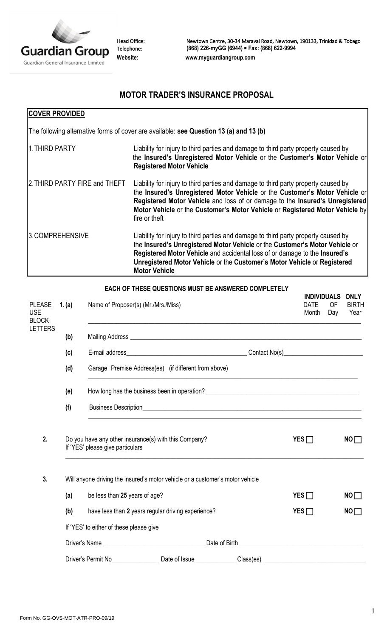

Head Office: Newtown Centre, 30-34 Maraval Road, Newtown, 190133, Trinidad & Tobago Telephone: **(868) 226-myGG (6944) Fax: (868) 622-9994 Website: [www.myguardiangroup.com](http://www.myguardiangroup.com/)**

## **MOTOR TRADER'S INSURANCE PROPOSAL**

| <b>COVER PROVIDED</b>         |                                                                                                                                                                                                                                                                                                                                                     |
|-------------------------------|-----------------------------------------------------------------------------------------------------------------------------------------------------------------------------------------------------------------------------------------------------------------------------------------------------------------------------------------------------|
|                               | The following alternative forms of cover are available: see Question 13 (a) and 13 (b)                                                                                                                                                                                                                                                              |
| 1. THIRD PARTY                | Liability for injury to third parties and damage to third party property caused by<br>the Insured's Unregistered Motor Vehicle or the Customer's Motor Vehicle or<br><b>Registered Motor Vehicle</b>                                                                                                                                                |
| 2. THIRD PARTY FIRE and THEFT | Liability for injury to third parties and damage to third party property caused by<br>the Insured's Unregistered Motor Vehicle or the Customer's Motor Vehicle or<br>Registered Motor Vehicle and loss of or damage to the Insured's Unregistered<br>Motor Vehicle or the Customer's Motor Vehicle or Registered Motor Vehicle by<br>fire or theft  |
| 3.COMPREHENSIVE               | Liability for injury to third parties and damage to third party property caused by<br>the Insured's Unregistered Motor Vehicle or the Customer's Motor Vehicle or<br>Registered Motor Vehicle and accidental loss of or damage to the Insured's<br>Unregistered Motor Vehicle or the Customer's Motor Vehicle or Registered<br><b>Motor Vehicle</b> |
|                               | EACH OF THESE QUESTIONS MUST BE ANSWERED COMPLETELY                                                                                                                                                                                                                                                                                                 |

| <b>PLEASE</b><br><b>USE</b>    | 1. (a) | Name of Proposer(s) (Mr./Mrs./Miss)                                                                            | <b>INDIVIDUALS</b><br><b>OF</b><br><b>DATE</b><br>Month<br>Day | <b>ONLY</b><br><b>BIRTH</b><br>Year |
|--------------------------------|--------|----------------------------------------------------------------------------------------------------------------|----------------------------------------------------------------|-------------------------------------|
| <b>BLOCK</b><br><b>LETTERS</b> |        |                                                                                                                |                                                                |                                     |
|                                | (b)    |                                                                                                                |                                                                |                                     |
|                                | (c)    |                                                                                                                |                                                                |                                     |
|                                | (d)    | Garage Premise Address(es) (if different from above)                                                           |                                                                |                                     |
|                                | (e)    |                                                                                                                |                                                                |                                     |
|                                | (f)    |                                                                                                                |                                                                |                                     |
| 2.                             |        | Do you have any other insurance(s) with this Company?<br>If 'YES' please give particulars                      | $YES \Box$                                                     | NO                                  |
| 3.                             |        | Will anyone driving the insured's motor vehicle or a customer's motor vehicle                                  |                                                                |                                     |
|                                | (a)    | be less than 25 years of age?                                                                                  | $YES \Box$                                                     | NO                                  |
|                                | (b)    | have less than 2 years regular driving experience?                                                             | YES                                                            | NO                                  |
|                                |        | If 'YES' to either of these please give                                                                        |                                                                |                                     |
|                                |        |                                                                                                                |                                                                |                                     |
|                                |        | Driver's Permit No____________________Date of Issue_______________Class(es) __________________________________ |                                                                |                                     |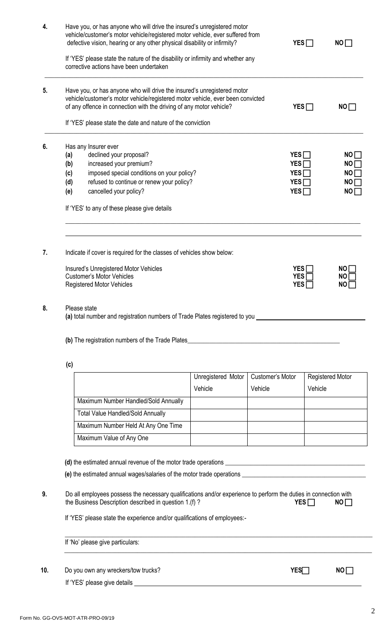| 5.<br>6.<br>7.<br>8. | (a)<br>(b)<br>(c)<br>(d)<br>(e)<br>Please state                                                                                                                                               | If 'YES' please state the nature of the disability or infirmity and whether any<br>corrective actions have been undertaken<br>Have you, or has anyone who will drive the insured's unregistered motor<br>vehicle/customer's motor vehicle/registered motor vehicle, ever been convicted<br>of any offence in connection with the driving of any motor vehicle?<br>If 'YES' please state the date and nature of the conviction<br>Has any Insurer ever<br>declined your proposal?<br>increased your premium?<br>imposed special conditions on your policy?<br>refused to continue or renew your policy?<br>cancelled your policy?<br>If 'YES' to any of these please give details<br>Indicate if cover is required for the classes of vehicles show below:<br>Insured's Unregistered Motor Vehicles<br><b>Customer's Motor Vehicles</b><br><b>Registered Motor Vehicles</b><br>(a) total number and registration numbers of Trade Plates registered to you |                    | $YES \Box$<br>$YES \Box$<br>YES<br>YES $\Box$<br>$YES \Box$<br>YES <sub>I</sub><br><b>YES</b><br><b>YES</b> | $YES \Box$ | NO<br>NO<br>NO<br>NO<br>NO<br>NO<br>NO<br>NO.<br><b>NO</b> |  |
|----------------------|-----------------------------------------------------------------------------------------------------------------------------------------------------------------------------------------------|-----------------------------------------------------------------------------------------------------------------------------------------------------------------------------------------------------------------------------------------------------------------------------------------------------------------------------------------------------------------------------------------------------------------------------------------------------------------------------------------------------------------------------------------------------------------------------------------------------------------------------------------------------------------------------------------------------------------------------------------------------------------------------------------------------------------------------------------------------------------------------------------------------------------------------------------------------------|--------------------|-------------------------------------------------------------------------------------------------------------|------------|------------------------------------------------------------|--|
|                      |                                                                                                                                                                                               |                                                                                                                                                                                                                                                                                                                                                                                                                                                                                                                                                                                                                                                                                                                                                                                                                                                                                                                                                           |                    |                                                                                                             |            |                                                            |  |
|                      |                                                                                                                                                                                               |                                                                                                                                                                                                                                                                                                                                                                                                                                                                                                                                                                                                                                                                                                                                                                                                                                                                                                                                                           |                    |                                                                                                             |            |                                                            |  |
|                      |                                                                                                                                                                                               |                                                                                                                                                                                                                                                                                                                                                                                                                                                                                                                                                                                                                                                                                                                                                                                                                                                                                                                                                           |                    |                                                                                                             |            |                                                            |  |
|                      |                                                                                                                                                                                               |                                                                                                                                                                                                                                                                                                                                                                                                                                                                                                                                                                                                                                                                                                                                                                                                                                                                                                                                                           |                    |                                                                                                             |            |                                                            |  |
|                      |                                                                                                                                                                                               |                                                                                                                                                                                                                                                                                                                                                                                                                                                                                                                                                                                                                                                                                                                                                                                                                                                                                                                                                           |                    |                                                                                                             |            |                                                            |  |
|                      |                                                                                                                                                                                               |                                                                                                                                                                                                                                                                                                                                                                                                                                                                                                                                                                                                                                                                                                                                                                                                                                                                                                                                                           |                    |                                                                                                             |            |                                                            |  |
|                      |                                                                                                                                                                                               |                                                                                                                                                                                                                                                                                                                                                                                                                                                                                                                                                                                                                                                                                                                                                                                                                                                                                                                                                           |                    |                                                                                                             |            |                                                            |  |
|                      |                                                                                                                                                                                               |                                                                                                                                                                                                                                                                                                                                                                                                                                                                                                                                                                                                                                                                                                                                                                                                                                                                                                                                                           |                    |                                                                                                             |            |                                                            |  |
|                      |                                                                                                                                                                                               |                                                                                                                                                                                                                                                                                                                                                                                                                                                                                                                                                                                                                                                                                                                                                                                                                                                                                                                                                           |                    |                                                                                                             |            |                                                            |  |
|                      |                                                                                                                                                                                               |                                                                                                                                                                                                                                                                                                                                                                                                                                                                                                                                                                                                                                                                                                                                                                                                                                                                                                                                                           |                    |                                                                                                             |            |                                                            |  |
|                      |                                                                                                                                                                                               |                                                                                                                                                                                                                                                                                                                                                                                                                                                                                                                                                                                                                                                                                                                                                                                                                                                                                                                                                           |                    |                                                                                                             |            |                                                            |  |
|                      |                                                                                                                                                                                               |                                                                                                                                                                                                                                                                                                                                                                                                                                                                                                                                                                                                                                                                                                                                                                                                                                                                                                                                                           |                    |                                                                                                             |            |                                                            |  |
|                      |                                                                                                                                                                                               |                                                                                                                                                                                                                                                                                                                                                                                                                                                                                                                                                                                                                                                                                                                                                                                                                                                                                                                                                           |                    |                                                                                                             |            |                                                            |  |
|                      | (c)                                                                                                                                                                                           |                                                                                                                                                                                                                                                                                                                                                                                                                                                                                                                                                                                                                                                                                                                                                                                                                                                                                                                                                           |                    |                                                                                                             |            |                                                            |  |
|                      |                                                                                                                                                                                               |                                                                                                                                                                                                                                                                                                                                                                                                                                                                                                                                                                                                                                                                                                                                                                                                                                                                                                                                                           | Unregistered Motor | Customer's Motor                                                                                            |            | Registered Motor                                           |  |
|                      |                                                                                                                                                                                               |                                                                                                                                                                                                                                                                                                                                                                                                                                                                                                                                                                                                                                                                                                                                                                                                                                                                                                                                                           | Vehicle            | Vehicle                                                                                                     | Vehicle    |                                                            |  |
|                      |                                                                                                                                                                                               | Maximum Number Handled/Sold Annually                                                                                                                                                                                                                                                                                                                                                                                                                                                                                                                                                                                                                                                                                                                                                                                                                                                                                                                      |                    |                                                                                                             |            |                                                            |  |
|                      |                                                                                                                                                                                               | <b>Total Value Handled/Sold Annually</b>                                                                                                                                                                                                                                                                                                                                                                                                                                                                                                                                                                                                                                                                                                                                                                                                                                                                                                                  |                    |                                                                                                             |            |                                                            |  |
|                      |                                                                                                                                                                                               | Maximum Number Held At Any One Time                                                                                                                                                                                                                                                                                                                                                                                                                                                                                                                                                                                                                                                                                                                                                                                                                                                                                                                       |                    |                                                                                                             |            |                                                            |  |
|                      |                                                                                                                                                                                               | Maximum Value of Any One                                                                                                                                                                                                                                                                                                                                                                                                                                                                                                                                                                                                                                                                                                                                                                                                                                                                                                                                  |                    |                                                                                                             |            |                                                            |  |
|                      |                                                                                                                                                                                               |                                                                                                                                                                                                                                                                                                                                                                                                                                                                                                                                                                                                                                                                                                                                                                                                                                                                                                                                                           |                    |                                                                                                             |            |                                                            |  |
|                      |                                                                                                                                                                                               |                                                                                                                                                                                                                                                                                                                                                                                                                                                                                                                                                                                                                                                                                                                                                                                                                                                                                                                                                           |                    |                                                                                                             |            |                                                            |  |
| 9.                   | Do all employees possess the necessary qualifications and/or experience to perform the duties in connection with<br>the Business Description described in question 1.(f)?<br>$YES \Box$<br>NO |                                                                                                                                                                                                                                                                                                                                                                                                                                                                                                                                                                                                                                                                                                                                                                                                                                                                                                                                                           |                    |                                                                                                             |            |                                                            |  |
|                      |                                                                                                                                                                                               | If 'YES' please state the experience and/or qualifications of employees:-                                                                                                                                                                                                                                                                                                                                                                                                                                                                                                                                                                                                                                                                                                                                                                                                                                                                                 |                    |                                                                                                             |            |                                                            |  |
|                      |                                                                                                                                                                                               | If 'No' please give particulars:                                                                                                                                                                                                                                                                                                                                                                                                                                                                                                                                                                                                                                                                                                                                                                                                                                                                                                                          |                    |                                                                                                             |            |                                                            |  |
| 10.                  |                                                                                                                                                                                               | Do you own any wreckers/tow trucks?<br>If 'YES' please give details                                                                                                                                                                                                                                                                                                                                                                                                                                                                                                                                                                                                                                                                                                                                                                                                                                                                                       |                    | <b>YES</b>                                                                                                  |            | NO                                                         |  |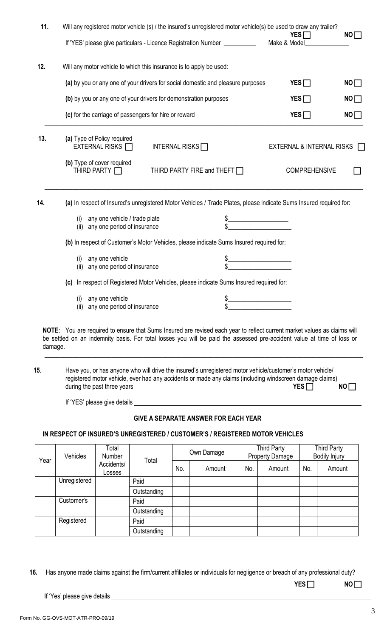| 11.     | Will any registered motor vehicle (s) / the insured's unregistered motor vehicle(s) be used to draw any trailer?<br>$YES \Box$<br>NO |                                                                                                                                                                                                                                                    |                           |    |  |  |  |
|---------|--------------------------------------------------------------------------------------------------------------------------------------|----------------------------------------------------------------------------------------------------------------------------------------------------------------------------------------------------------------------------------------------------|---------------------------|----|--|--|--|
|         |                                                                                                                                      | If 'YES' please give particulars - Licence Registration Number __________                                                                                                                                                                          | Make & Model              |    |  |  |  |
| 12.     | Will any motor vehicle to which this insurance is to apply be used:                                                                  |                                                                                                                                                                                                                                                    |                           |    |  |  |  |
|         |                                                                                                                                      | (a) by you or any one of your drivers for social domestic and pleasure purposes                                                                                                                                                                    | $YES \Box$                | NO |  |  |  |
|         | (b) by you or any one of your drivers for demonstration purposes                                                                     |                                                                                                                                                                                                                                                    | YES                       | NO |  |  |  |
|         | (c) for the carriage of passengers for hire or reward                                                                                |                                                                                                                                                                                                                                                    | $YES \Box$                | NO |  |  |  |
| 13.     | (a) Type of Policy required<br>EXTERNAL RISKS $\Box$                                                                                 | INTERNAL RISKS $\Box$                                                                                                                                                                                                                              | EXTERNAL & INTERNAL RISKS |    |  |  |  |
|         | (b) Type of cover required<br>THIRD PARTY $\Box$                                                                                     | THIRD PARTY FIRE and THEFT $\Box$                                                                                                                                                                                                                  | <b>COMPREHENSIVE</b>      |    |  |  |  |
| 14.     |                                                                                                                                      | (a) In respect of Insured's unregistered Motor Vehicles / Trade Plates, please indicate Sums Insured required for:                                                                                                                                 |                           |    |  |  |  |
|         | any one vehicle / trade plate<br>(i)<br>any one period of insurance<br>(ii)                                                          |                                                                                                                                                                                                                                                    |                           |    |  |  |  |
|         |                                                                                                                                      | (b) In respect of Customer's Motor Vehicles, please indicate Sums Insured required for:                                                                                                                                                            |                           |    |  |  |  |
|         | any one vehicle<br>(i)<br>any one period of insurance<br>(ii)                                                                        |                                                                                                                                                                                                                                                    |                           |    |  |  |  |
|         | (c)                                                                                                                                  | In respect of Registered Motor Vehicles, please indicate Sums Insured required for:                                                                                                                                                                |                           |    |  |  |  |
|         | any one vehicle<br>(i)<br>(ii) any one period of insurance                                                                           |                                                                                                                                                                                                                                                    |                           |    |  |  |  |
| damage. |                                                                                                                                      | NOTE: You are required to ensure that Sums Insured are revised each year to reflect current market values as claims will<br>be settled on an indemnity basis. For total losses you will be paid the assessed pre-accident value at time of loss or |                           |    |  |  |  |
| 15.     | during the past three years                                                                                                          | Have you, or has anyone who will drive the insured's unregistered motor vehicle/customer's motor vehicle/<br>registered motor vehicle, ever had any accidents or made any claims (including windscreen damage claims)                              | $YES \Box$                | NO |  |  |  |
|         |                                                                                                                                      |                                                                                                                                                                                                                                                    |                           |    |  |  |  |
|         |                                                                                                                                      | <b>GIVE A SEPARATE ANSWER FOR EACH YEAR</b>                                                                                                                                                                                                        |                           |    |  |  |  |
|         |                                                                                                                                      | IN RESPECT OF INSURED'S UNREGISTERED / CUSTOMER'S / REGISTERED MOTOR VEHICLES                                                                                                                                                                      |                           |    |  |  |  |

| Vehicles<br>Year |                      | Total<br>Number<br>Total | Own Damage  |        | Third Party<br><b>Property Damage</b> |        | <b>Third Party</b><br><b>Bodily Injury</b> |        |  |
|------------------|----------------------|--------------------------|-------------|--------|---------------------------------------|--------|--------------------------------------------|--------|--|
|                  | Accidents/<br>Losses |                          | No.         | Amount | No.                                   | Amount | No.                                        | Amount |  |
|                  | Unregistered         |                          | Paid        |        |                                       |        |                                            |        |  |
|                  |                      |                          | Outstanding |        |                                       |        |                                            |        |  |
|                  | Customer's           |                          | Paid        |        |                                       |        |                                            |        |  |
|                  |                      |                          | Outstanding |        |                                       |        |                                            |        |  |
|                  | Registered           |                          | Paid        |        |                                       |        |                                            |        |  |
|                  |                      |                          | Outstanding |        |                                       |        |                                            |        |  |

 **16.** Has anyone made claims against the firm/current affiliates or individuals for negligence or breach of any professional duty?

 **YES NO**